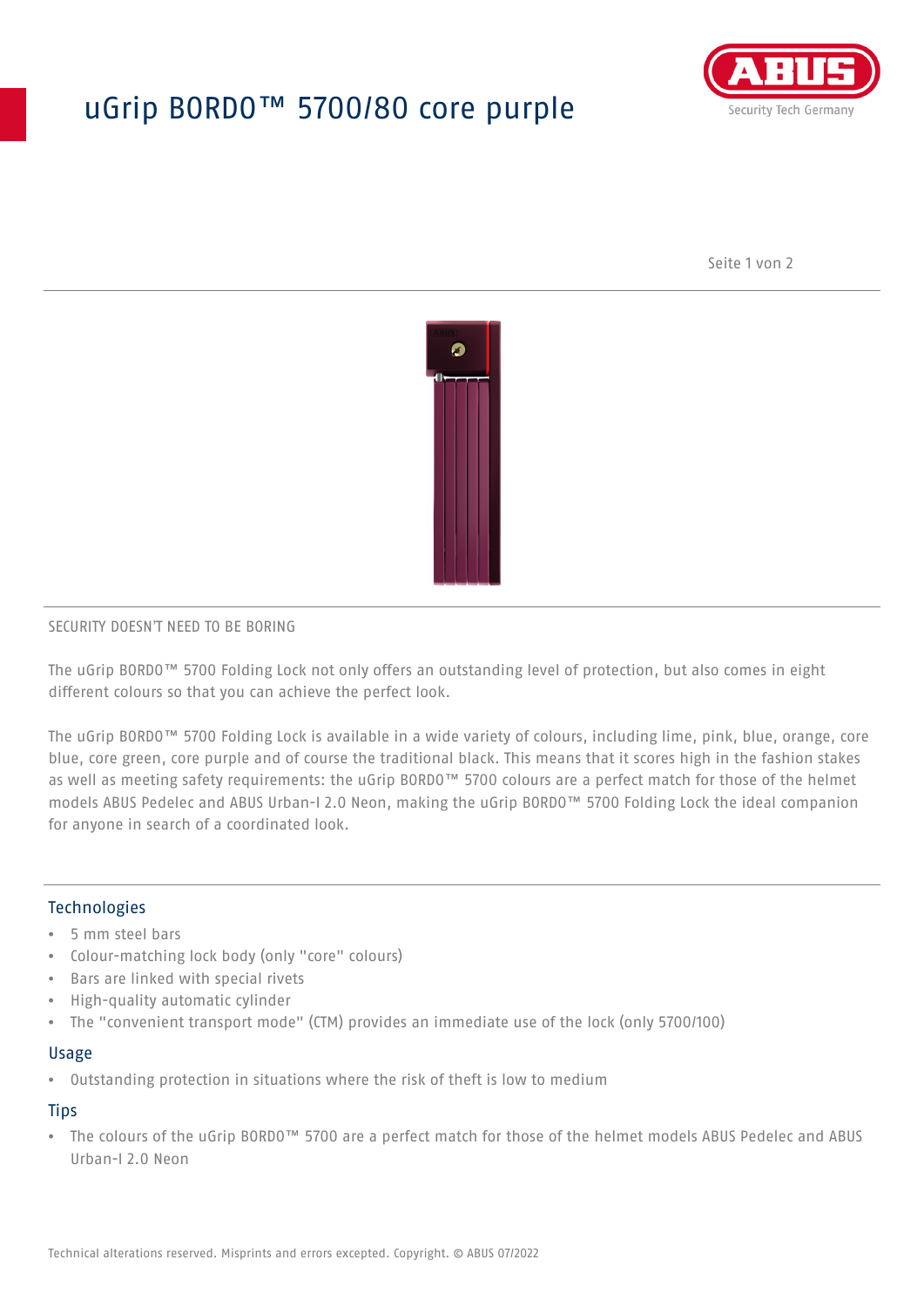# uGrip BORDO™ 5700/80 core purple



Seite 1 von 2



#### SECURITY DOESN'T NEED TO BE BORING

The uGrip BORDO™ 5700 Folding Lock not only offers an outstanding level of protection, but also comes in eight different colours so that you can achieve the perfect look.

The uGrip BORDO™ 5700 Folding Lock is available in a wide variety of colours, including lime, pink, blue, orange, core blue, core green, core purple and of course the traditional black. This means that it scores high in the fashion stakes as well as meeting safety requirements: the uGrip BORDO™ 5700 colours are a perfect match for those of the helmet models ABUS Pedelec and ABUS Urban-I 2.0 Neon, making the uGrip BORDO™ 5700 Folding Lock the ideal companion for anyone in search of a coordinated look.

## Technologies

- 5 mm steel bars
- Colour-matching lock body (only "core" colours)
- Bars are linked with special rivets
- High-quality automatic cylinder
- The "convenient transport mode" (CTM) provides an immediate use of the lock (only 5700/100)

#### Usage

• Outstanding protection in situations where the risk of theft is low to medium

## **Tips**

• The colours of the uGrip BORDO™ 5700 are a perfect match for those of the helmet models ABUS Pedelec and ABUS Urban-I 2.0 Neon